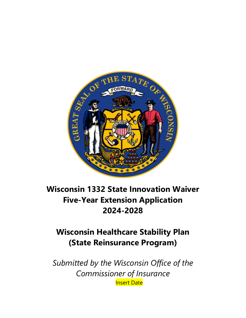

# **Wisconsin 1332 State Innovation Waiver Five-Year Extension Application 2024-2028**

# **Wisconsin Healthcare Stability Plan (State Reinsurance Program)**

*Submitted by the Wisconsin Office of the Commissioner of Insurance* Insert Date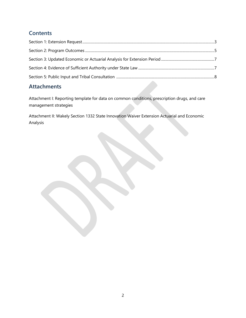# **Contents**

# **Attachments**

Attachment I: Reporting template for data on common conditions, prescription drugs, and care management strategies

Attachment II: Wakely Section 1332 State Innovation Waiver Extension Actuarial and Economic Analysis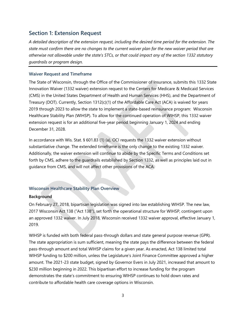# <span id="page-2-0"></span>**Section 1: Extension Request**

*A detailed description of the extension request, including the desired time period for the extension. The state must confirm there are no changes to the current waiver plan for the new waiver period that are otherwise not allowable under the state's STCs, or that could impact any of the section 1332 statutory guardrails or program design.*

#### **Waiver Request and Timeframe**

The State of Wisconsin, through the Office of the Commissioner of Insurance, submits this 1332 State Innovation Waiver (1332 waiver) extension request to the Centers for Medicare & Medicaid Services (CMS) in the United States Department of Health and Human Services (HHS), and the Department of Treasury (DOT). Currently, Section 1312(c)(1) of the Affordable Care Act (ACA) is waived for years 2019 through 2023 to allow the state to implement a state-based reinsurance program: Wisconsin Healthcare Stability Plan (WIHSP). To allow for the continued operation of WIHSP, this 1332 waiver extension request is for an additional five-year period beginning January 1, 2024 and ending December 31, 2028.

In accordance with Wis. Stat. § 601.83 (1) (a), OCI requests the 1332 waiver extension without substantiative change. The extended timeframe is the only change to the existing 1332 waiver. Additionally, the waiver extension will continue to abide by the Specific Terms and Conditions set forth by CMS, adhere to the guardrails established by Section 1332, as well as principles laid out in guidance from CMS, and will not affect other provisions of the ACA.

### **Wisconsin Healthcare Stability Plan Overview**

#### **Background**

On February 27, 2018, bipartisan legislation was signed into law establishing WIHSP. The new law, 2017 Wisconsin Act 138 ("Act 138"), set forth the operational structure for WIHSP, contingent upon an approved 1332 waiver. In July 2018, Wisconsin received 1332 waiver approval, effective January 1, 2019.

WIHSP is funded with both federal pass-through dollars and state general purpose revenue (GPR). The state appropriation is sum sufficient, meaning the state pays the difference between the federal pass-through amount and total WIHSP claims for a given year. As enacted, Act 138 limited total WIHSP funding to \$200 million, unless the Legislature's Joint Finance Committee approved a higher amount. The 2021-23 state budget, signed by Governor Evers in July 2021, increased that amount to \$230 million beginning in 2022. This bipartisan effort to increase funding for the program demonstrates the state's commitment to ensuring WIHSP continues to hold down rates and contribute to affordable health care coverage options in Wisconsin.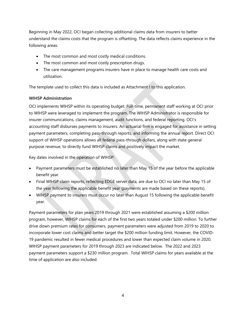Beginning in May 2022, OCI began collecting additional claims data from insurers to better understand the claims costs that the program is offsetting. The data reflects claims experience in the following areas:

- The most common and most costly medical conditions.
- The most common and most costly prescription drugs.
- The care management programs insurers have in place to manage health care costs and utilization.

The template used to collect this data is included as Attachment I to this application.

### **WIHSP Administration**

OCI implements WIHSP within its operating budget. Full-time, permanent staff working at OCI prior to WIHSP were leveraged to implement the program. The WIHSP Administrator is responsible for insurer communications, claims management, audit functions, and federal reporting. OCI's accounting staff disburses payments to insurers. An actuarial firm is engaged for assistance in setting payment parameters, completing pass-through reports, and informing the annual report. Direct OCI support of WIHSP operations allows all federal pass-through dollars, along with state general purpose revenue, to directly fund WIHSP claims and positively impact the market.

Key dates involved in the operation of WIHSP:

- Payment parameters must be established no later than May 15 of the year before the applicable benefit year.
- Final WIHSP claim reports, reflecting EDGE server data, are due to OCI no later than May 15 of the year following the applicable benefit year (payments are made based on these reports).
- WIHSP payment to insurers must occur no later than August 15 following the applicable benefit year.

Payment parameters for plan years 2019 through 2021 were established assuming a \$200 million program, however, WIHSP claims for each of the first two years totaled under \$200 million. To further drive down premium rates for consumers, payment parameters were adjusted from 2019 to 2020 to incorporate lower cost claims and better target the \$200 million funding limit. However, the COVID-19 pandemic resulted in fewer medical procedures and lower than expected claim volume in 2020. WIHSP payment parameters for 2019 through 2023 are indicated below. The 2022 and 2023 payment parameters support a \$230 million program. Total WIHSP claims for years available at the time of application are also included.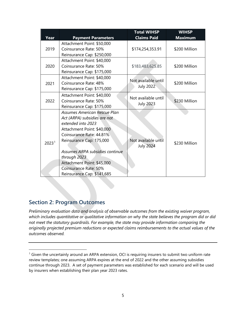|                   |                                 | <b>Total WIHSP</b>  | <b>WIHSP</b>   |  |
|-------------------|---------------------------------|---------------------|----------------|--|
| Year              | <b>Payment Parameters</b>       | <b>Claims Paid</b>  | <b>Maximum</b> |  |
|                   | Attachment Point: \$50,000      |                     |                |  |
| 2019              | Coinsurance Rate: 50%           | \$174,254,353.91    | \$200 Million  |  |
|                   | Reinsurance Cap: \$250,000      |                     |                |  |
|                   | Attachment Point: \$40,000      |                     |                |  |
| 2020              | Coinsurance Rate: 50%           | \$183,483,625.85    | \$200 Million  |  |
|                   | Reinsurance Cap: \$175,000      |                     |                |  |
|                   | Attachment Point: \$40,000      | Not available until |                |  |
| 2021              | Coinsurance Rate: 48%           |                     | \$200 Million  |  |
|                   | Reinsurance Cap: \$175,000      | July 2022           |                |  |
|                   | Attachment Point: \$40,000      | Not available until |                |  |
| 2022              | Coinsurance Rate: 50%           |                     | \$230 Million  |  |
|                   | Reinsurance Cap: \$175,000      | <b>July 2023</b>    |                |  |
|                   | Assumes American Rescue Plan    |                     |                |  |
|                   | Act (ARPA) subsidies are not    |                     |                |  |
|                   | extended into 2023              |                     |                |  |
|                   | Attachment Point: \$40,000      |                     |                |  |
|                   | Coinsurance Rate: 44.81%        |                     |                |  |
| 2023 <sup>1</sup> | Reinsurance Cap: 175,000        | Not available until | \$230 Million  |  |
|                   |                                 | <b>July 2024</b>    |                |  |
|                   | Assumes ARPA subsidies continue |                     |                |  |
|                   | through 2023                    |                     |                |  |
|                   | Attachment Point: \$45,000      |                     |                |  |
|                   | Coinsurance Rate: 50%           |                     |                |  |
|                   | Reinsurance Cap: \$141,685      |                     |                |  |

# <span id="page-4-0"></span>**Section 2: Program Outcomes**

*Preliminary evaluation data and analysis of observable outcomes from the existing waiver program, which includes quantitative or qualitative information on why the state believes the program did or did not meet the statutory guardrails. For example, the state may provide information comparing the originally projected premium reductions or expected claims reimbursements to the actual values of the outcomes observed.*

<span id="page-4-1"></span><sup>&</sup>lt;sup>1</sup> Given the uncertainly around an ARPA extension, OCI is requiring insurers to submit two uniform rate review templates; one assuming ARPA expires at the end of 2022 and the other assuming subsidies continue through 2023. A set of payment parameters was established for each scenario and will be used by insurers when establishing their plan year 2023 rates.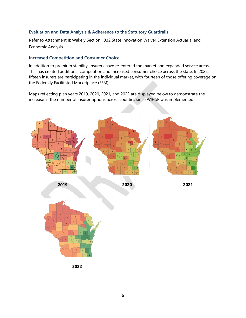#### **Evaluation and Data Analysis & Adherence to the Statutory Guardrails**

Refer to Attachment II: Wakely Section 1332 State Innovation Waiver Extension Actuarial and Economic Analysis

#### **Increased Competition and Consumer Choice**

In addition to premium stability, insurers have re-entered the market and expanded service areas. This has created additional competition and increased consumer choice across the state. In 2022, fifteen insurers are participating in the individual market, with fourteen of those offering coverage on the Federally Facilitated Marketplace (FFM).

Maps reflecting plan years 2019, 2020, 2021, and 2022 are displayed below to demonstrate the increase in the number of insurer options across counties since WIHSP was implemented.



**2022**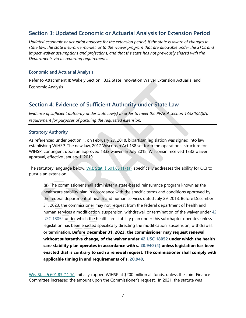# <span id="page-6-0"></span>**Section 3: Updated Economic or Actuarial Analysis for Extension Period**

*Updated economic or actuarial analyses for the extension period, if the state is aware of changes in state law, the state insurance market, or to the waiver program that are allowable under the STCs and impact waiver assumptions and projections, and that the state has not previously shared with the Departments via its reporting requirements.* 

#### **Economic and Actuarial Analysis**

Refer to Attachment II: Wakely Section 1332 State Innovation Waiver Extension Actuarial and Economic Analysis

# <span id="page-6-1"></span>**Section 4: Evidence of Sufficient Authority under State Law**

*Evidence of sufficient authority under state law(s) in order to meet the PPACA section 1332(b)(2)(A) requirement for purposes of pursuing the requested extension.* 

#### **Statutory Authority**

As referenced under Section 1, on February 27, 2018, bipartisan legislation was signed into law establishing WIHSP. The new law, 2017 Wisconsin Act 138 set forth the operational structure for WIHSP, contingent upon an approved 1332 waiver. In July 2018, Wisconsin received 1332 waiver approval, effective January 1, 2019.

The statutory language below, [Wis. Stat. § 601.83 \(1\) \(a\),](https://docs.legis.wisconsin.gov/statutes/statutes/601/vii/83) specifically addresses the ability for OCI to pursue an extension.

**(a)** The commissioner shall administer a state-based reinsurance program known as the healthcare stability plan in accordance with the specific terms and conditions approved by the federal department of health and human services dated July 29, 2018. Before December 31, 2023, the commissioner may not request from the federal department of health and human services a modification, suspension, withdrawal, or termination of the waiver under  $42$ [USC 18052](https://docs.legis.wisconsin.gov/document/usc/42%20USC%2018052) under which the healthcare stability plan under this subchapter operates unless legislation has been enacted specifically directing the modification, suspension, withdrawal, or termination. **Before December 31, 2023, the commissioner may request renewal, without substantive change, of the waiver under [42 USC 18052](https://docs.legis.wisconsin.gov/document/usc/42%20USC%2018052) under which the health care stability plan operates in accordance with s. [20.940 \(4\)](https://docs.legis.wisconsin.gov/document/statutes/20.940(4)) unless legislation has been enacted that is contrary to such a renewal request. The commissioner shall comply with applicable timing in and requirements of s. [20.940.](https://docs.legis.wisconsin.gov/document/statutes/20.940)** 

[Wis. Stat. § 601.83 \(1\) \(h\),](https://docs.legis.wisconsin.gov/statutes/statutes/601/vii/83) initially capped WIHSP at \$200 million all funds, unless the Joint Finance Committee increased the amount upon the Commissioner's request. In 2021, the statute was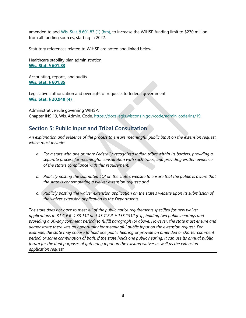amended to add Wis. Stat. [§ 601.83 \(1\) \(hm\),](https://docs.legis.wisconsin.gov/statutes/statutes/601/vii/83) to increase the WIHSP funding limit to \$230 million from all funding sources, starting in 2022.

Statutory references related to WIHSP are noted and linked below.

Healthcare stability plan administration **[Wis. Stat. § 601.83](https://docs.legis.wisconsin.gov/statutes/statutes/601/vii/83)** 

Accounting, reports, and audits **[Wis. Stat. § 601.85](https://docs.legis.wisconsin.gov/statutes/statutes/601/vii/85)** 

Legislative authorization and oversight of requests to federal government **[Wis. Stat. § 20.940 \(4\)](https://docs.legis.wisconsin.gov/statutes/statutes/20/x/940)**

Administrative rule governing WIHSP: Chapter INS 19, Wis. Admin. Code. [https://docs.legis.wisconsin.gov/code/admin\\_code/ins/19](https://docs.legis.wisconsin.gov/code/admin_code/ins/19)

# <span id="page-7-0"></span>**Section 5: Public Input and Tribal Consultation**

*An explanation and evidence of the process to ensure meaningful public input on the extension request, which must include:* 

- *a. For a state with one or more Federally-recognized Indian tribes within its borders, providing a separate process for meaningful consultation with such tribes, and providing written evidence of the state's compliance with this requirement;*
- *b. Publicly posting the submitted LOI on the state's website to ensure that the public is aware that the state is contemplating a waiver extension request; and*
- *c. Publicly posting the waiver extension application on the state's website upon its submission of the waiver extension application to the Departments.*

*The state does not have to meet all of the public notice requirements specified for new waiver applications in 31 C.F.R. § 33.112 and 45 C.F.R. § 155.1312 (e.g., holding two public hearings and providing a 30-day comment period) to fulfill paragraph (5) above. However, the state must ensure and demonstrate there was an opportunity for meaningful public input on the extension request. For example, the state may choose to hold one public hearing or provide an amended or shorter comment period, or some combination of both. If the state holds one public hearing, it can use its annual public forum for the dual purposes of gathering input on the existing waiver as well as the extension application request.*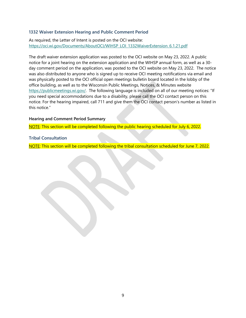#### **1332 Waiver Extension Hearing and Public Comment Period**

As required, the Letter of Intent is posted on the OCI website: [https://oci.wi.gov/Documents/AboutOCI/WIHSP\\_LOI\\_1332WaiverExtension\\_6.1.21.pdf](https://oci.wi.gov/Documents/AboutOCI/WIHSP_LOI_1332WaiverExtension_6.1.21.pdf)

The draft waiver extension application was posted to the OCI website on May 23, 2022. A public notice for a joint hearing on the extension application and the WIHSP annual form, as well as a 30 day comment period on the application, was posted to the OCI website on May 23, 2022. The notice was also distributed to anyone who is signed up to receive OCI meeting notifications via email and was physically posted to the OCI official open meetings bulletin board located in the lobby of the office building, as well as to the Wisconsin Public Meetings, Notices, & Minutes website [https://publicmeetings.wi.gov/.](https://publicmeetings.wi.gov/) The following language is included on all of our meeting notices: "If you need special accommodations due to a disability, please call the OCI contact person on this notice. For the hearing impaired, call 711 and give them the OCI contact person's number as listed in this notice."

#### **Hearing and Comment Period Summary**

NOTE: This section will be completed following the public hearing scheduled for July 6, 2022.

#### **Tribal Consultation**

NOTE: This section will be completed following the tribal consultation scheduled for June 7, 2022.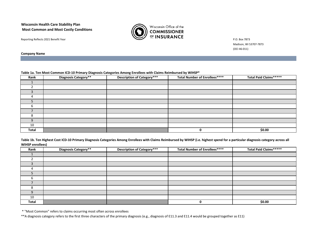#### **Wisconsin Health Care Stability Plan Most Common and Most Costly Conditions**





Madison, WI 53707-7873 (OCI 46-011)

**Company Name**

#### **Table 1a. Ten Most Common ICD-10 Primary Diagnosis Categories Among Enrollees with Claims Reimbursed by WIHSP\***

| Rank         | .<br>Diagnosis Category** | <b>Description of Category***</b> | <b>Total Number of Enrollees****</b> | Total Paid Claims***** |
|--------------|---------------------------|-----------------------------------|--------------------------------------|------------------------|
|              |                           |                                   |                                      |                        |
|              |                           |                                   |                                      |                        |
|              |                           |                                   |                                      |                        |
|              |                           |                                   |                                      |                        |
|              |                           |                                   |                                      |                        |
|              |                           |                                   |                                      |                        |
|              |                           |                                   |                                      |                        |
|              |                           |                                   |                                      |                        |
| q            |                           |                                   |                                      |                        |
| 10           |                           |                                   |                                      |                        |
| <b>Total</b> |                           |                                   | 0                                    | \$0.00                 |

**Table 1b. Ten Highest Cost ICD-10 Primary Diagnosis Categories Among Enrollees with Claims Reimbursed by WIHSP (i.e. highest spend for a particular diagnosis category across all WIHSP enrollees)** 

| Rank  | Diagnosis Category** | <b>Description of Category***</b> | <b>Total Number of Enrollees****</b> | <b>Total Paid Claims</b> ***** |
|-------|----------------------|-----------------------------------|--------------------------------------|--------------------------------|
|       |                      |                                   |                                      |                                |
|       |                      |                                   |                                      |                                |
|       |                      |                                   |                                      |                                |
|       |                      |                                   |                                      |                                |
|       |                      |                                   |                                      |                                |
|       |                      |                                   |                                      |                                |
|       |                      |                                   |                                      |                                |
|       |                      |                                   |                                      |                                |
| q     |                      |                                   |                                      |                                |
| 10    |                      |                                   |                                      |                                |
| Total |                      |                                   | O                                    | \$0.00                         |

\* "Most Common" refers to claims occurring most often across enrollees

\*\*A diagnosis category refers to the first three characters of the primary diagnosis (e.g., diagnosis of E11.3 and E11.4 would be grouped together as E11)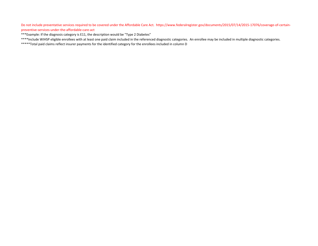Do not include preventative services required to be covered under the Affordable Care Act. https://www.federalregister.gov/documents/2015/07/14/2015-17076/coverage-of-certainpreventive-services-under-the-affordable-care-act

\*\*\*Example: If the diagnosis category is E11, the description would be "Type 2 Diabetes"

\*\*\*\*Include WIHSP eligible enrollees with at least one paid claim included in the referenced diagnostic categories. An enrollee may be included in multiple diagnostic categories.

\*\*\*\*\*Total paid claims reflect insurer payments for the identified category for the enrollees included in column D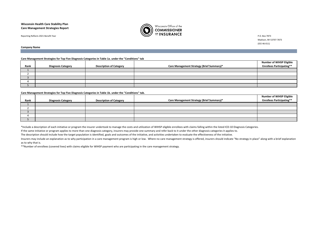#### **Wisconsin Health Care Stability Plan Care Management Strategies Report**



Madison, WI 53707-7873 (OCI 46-011)

**Company Name**

#### **Care Management Strategies for Top Five Diagnosis Categories in Table 1a. under the "Conditions" tab**

|      |                           |                                |                                           | <b>Number of WIHSP Eligible</b>  |
|------|---------------------------|--------------------------------|-------------------------------------------|----------------------------------|
| Rank | <b>Diagnosis Category</b> | <b>Description of Category</b> | Care Management Strategy (Brief Summary)* | <b>Enrollees Participating**</b> |
|      |                           |                                |                                           |                                  |
|      |                           |                                |                                           |                                  |
|      |                           |                                |                                           |                                  |
|      |                           |                                |                                           |                                  |
|      |                           |                                |                                           |                                  |

#### **Care Management Strategies for Top Five Diagnosis Categories in Table 1b. under the "Conditions" tab.**

|      |                           |                                |                                           | <b>Number of WIHSP Eligible</b>  |
|------|---------------------------|--------------------------------|-------------------------------------------|----------------------------------|
| Rank | <b>Diagnosis Category</b> | <b>Description of Category</b> | Care Management Strategy (Brief Summary)* | <b>Enrollees Participating**</b> |
|      |                           |                                |                                           |                                  |
|      |                           |                                |                                           |                                  |
|      |                           |                                |                                           |                                  |
|      |                           |                                |                                           |                                  |
|      |                           |                                |                                           |                                  |

\*Include a description of each initiative or program the insurer undertook to manage the costs and utilization of WIHSP eligible enrollees with claims falling within the listed ICD-10 Diagnosis Categories.

If the same initiative or program applies to more than one diagnosis category, insurers may provide one summary and refer back to it under the other diagnosis categories it applies to.

The description should include how the target population is identified, goals and outcomes of the initiative, and activities undertaken to evaluate the effectiveness of the initiative.

Insurers may include an explanation as to why participation in a care management program is high or low. Where no care management strategy is offered, insurers should indicate "No strategy in place" along with a brief expl as to why that is.

\*\*Number of enrollees (covered lives) with claims eligible for WIHSP payment who are participating in the care management strategy.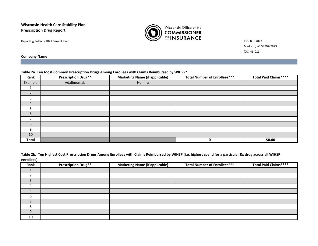**Wisconsin Health Care Stability Plan Prescription Drug Report**



Madison, WI 53707-7873 (OCI 46-011)

**Company Name**

#### **Table 2a. Ten Most Common Prescription Drugs Among Enrollees with Claims Reimbursed by WIHSP\***

| Rank           | <b>Prescription Drug**</b> | <b>Marketing Name (if applicable)</b> | <b>Total Number of Enrollees***</b> | Total Paid Claims**** |
|----------------|----------------------------|---------------------------------------|-------------------------------------|-----------------------|
| Example        | Adalimumab                 | Humira                                |                                     |                       |
|                |                            |                                       |                                     |                       |
| $\overline{2}$ |                            |                                       |                                     |                       |
| 3              |                            |                                       |                                     |                       |
| $\overline{4}$ |                            |                                       |                                     |                       |
| 5              |                            |                                       |                                     |                       |
| 6              |                            |                                       |                                     |                       |
| ⇁              |                            |                                       |                                     |                       |
| 8              |                            |                                       |                                     |                       |
| 9              |                            |                                       |                                     |                       |
| 10             |                            |                                       |                                     |                       |
| <b>Total</b>   |                            |                                       | 0                                   | \$0.00                |

|            | Table 2b. Ten Highest Cost Prescription Drugs Among Enrollees with Claims Reimbursed by WIHSP (i.e. highest spend for a particular Rx drug across all WIHSP |
|------------|-------------------------------------------------------------------------------------------------------------------------------------------------------------|
| enrollees) |                                                                                                                                                             |

| Rank     | <b>Prescription Drug**</b> | <b>Marketing Name (if applicable)</b> | <b>Total Number of Enrollees***</b> | <b>Total Paid Claims****</b> |
|----------|----------------------------|---------------------------------------|-------------------------------------|------------------------------|
|          |                            |                                       |                                     |                              |
|          |                            |                                       |                                     |                              |
|          |                            |                                       |                                     |                              |
| $\Delta$ |                            |                                       |                                     |                              |
|          |                            |                                       |                                     |                              |
|          |                            |                                       |                                     |                              |
|          |                            |                                       |                                     |                              |
|          |                            |                                       |                                     |                              |
| $\Omega$ |                            |                                       |                                     |                              |
| 10       |                            |                                       |                                     |                              |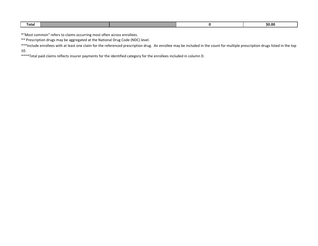| <b>SO.OG</b><br>Total |  |  |  |
|-----------------------|--|--|--|
|                       |  |  |  |

\*"Most common" refers to claims occurring most often across enrollees.

\*\* Prescription drugs may be aggregated at the National Drug Code (NDC) level.

\*\*\*Include enrollees with at least one claim for the referenced prescription drug. An enrollee may be included in the count for multiple prescription drugs listed in the top 10.

\*\*\*\*Total paid claims reflects insurer payments for the identified category for the enrollees included in column D.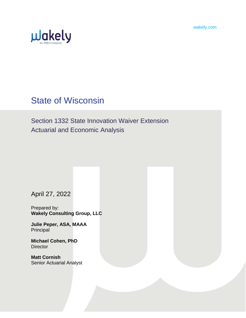wakely.com



# State of Wisconsin

Section 1332 State Innovation Waiver Extension Actuarial and Economic Analysis

April 27, 2022

Prepared by: **Wakely Consulting Group, LLC**

**Julie Peper, ASA, MAAA Principal** 

**Michael Cohen, PhD Director** 

**Matt Cornish** Senior Actuarial Analyst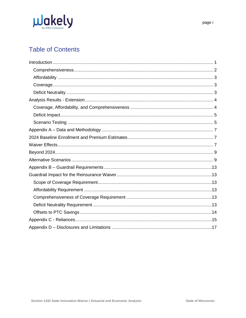

# **Table of Contents**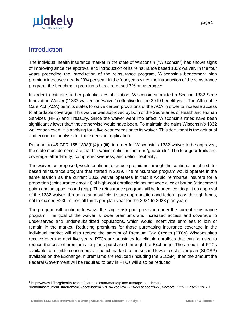

# <span id="page-16-0"></span>**Introduction**

The individual health insurance market in the state of Wisconsin ("Wisconsin") has shown signs of improving since the approval and introduction of its reinsurance based 1332 waiver. In the four years preceding the introduction of the reinsurance program, Wisconsin's benchmark plan premium increased nearly 20% per year. In the four years since the introduction of the reinsurance program, the benchmark premiums has decreased 7% on average.<sup>1</sup>

In order to mitigate further potential destabilization, Wisconsin submitted a Section 1332 State Innovation Waiver ("1332 waiver" or "waiver") effective for the 2019 benefit year. The Affordable Care Act (ACA) permits states to waive certain provisions of the ACA in order to increase access to affordable coverage. This waiver was approved by both of the Secretaries of Health and Human Services (HHS) and Treasury. Since the waiver went into effect, Wisconsin's rates have been significantly lower than they otherwise would have been. To maintain the gains Wisconsin's 1332 waiver achieved, it is applying for a five-year extension to its waiver. This document is the actuarial and economic analysis for the extension application.

Pursuant to 45 CFR 155.1308(f)(4)(i)-(iii), in order for Wisconsin's 1332 waiver to be approved, the state must demonstrate that the waiver satisfies the four "guardrails". The four guardrails are: coverage, affordability, comprehensiveness, and deficit neutrality.

The waiver, as proposed, would continue to reduce premiums through the continuation of a statebased reinsurance program that started in 2019. The reinsurance program would operate in the same fashion as the current 1332 waiver operates in that it would reimburse insurers for a proportion (coinsurance amount) of high-cost enrollee claims between a lower bound (attachment point) and an upper bound (cap). The reinsurance program will be funded, contingent on approval of the 1332 waiver, through a sum sufficient state appropriation and federal pass-through funds, not to exceed \$230 million all funds per plan year for the 2024 to 2028 plan years.

The program will continue to waive the single risk pool provision under the current reinsurance program. The goal of the waiver is lower premiums and increased access and coverage to underserved and under-subsidized populations, which would incentivize enrollees to join or remain in the market. Reducing premiums for those purchasing insurance coverage in the individual market will also reduce the amount of Premium Tax Credits (PTCs) Wisconsinites receive over the next five years. PTCs are subsidies for eligible enrollees that can be used to reduce the cost of premiums for plans purchased through the Exchange. The amount of PTCs available for eligible consumers are benchmarked to the second lowest cost silver plan (SLCSP) available on the Exchange. If premiums are reduced (including the SLCSP), then the amount the Federal Government will be required to pay in PTCs will also be reduced.

 $\overline{a}$ 

<sup>1</sup> https://www.kff.org/health-reform/state-indicator/marketplace-average-benchmarkpremiums/?currentTimeframe=0&sortModel=%7B%22colId%22:%22Location%22,%22sort%22:%22asc%22%7D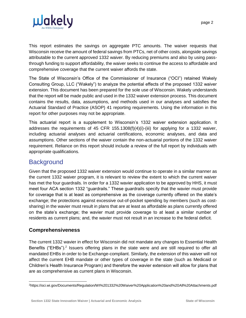

This report estimates the savings on aggregate PTC amounts. The waiver requests that Wisconsin receive the amount of federal savings from PTCs, net of other costs, alongside savings attributable to the current approved 1332 waiver. By reducing premiums and also by using passthrough funding to support affordability, the waiver seeks to continue the access to affordable and comprehensive coverage that the current waiver affords the state.

The State of Wisconsin's Office of the Commissioner of Insurance ("OCI") retained Wakely Consulting Group, LLC ("Wakely") to analyze the potential effects of the proposed 1332 waiver extension. This document has been prepared for the sole use of Wisconsin. Wakely understands that the report will be made public and used in the 1332 waiver extension process. This document contains the results, data, assumptions, and methods used in our analyses and satisfies the Actuarial Standard of Practice (ASOP) 41 reporting requirements. Using the information in this report for other purposes may not be appropriate.

This actuarial report is a supplement to Wisconsin's 1332 waiver extension application. It addresses the requirements of 45 CFR 155.1308(f)(4)(i)-(iii) for applying for a 1332 waiver, including actuarial analyses and actuarial certifications, economic analyses, and data and assumptions. Other sections of the waiver contain the non-actuarial portions of the 1332 waiver requirement. Reliance on this report should include a review of the full report by individuals with appropriate qualifications.

# **Background**

Given that the proposed 1332 waiver extension would continue to operate in a similar manner as the current 1332 waiver program, it is relevant to review the extent to which the current waiver has met the four guardrails. In order for a 1332 wavier application to be approved by HHS, it must meet four ACA section 1332 "guardrails." These guardrails specify that the wavier must provide for coverage that is at least as comprehensive as the coverage currently offered on the state's exchange; the protections against excessive out-of-pocket spending by members (such as costsharing) in the wavier must result in plans that are at least as affordable as plans currently offered on the state's exchange; the wavier must provide coverage to at least a similar number of residents as current plans; and, the wavier must not result in an increase to the federal deficit.

# <span id="page-17-0"></span>**Comprehensiveness**

The current 1332 wavier in effect for Wisconsin did not mandate any changes to Essential Health Benefits ("EHBs").<sup>2</sup> Issuers offering plans in the state were and are still required to offer all mandated EHBs in order to be Exchange-compliant. Similarly, the extension of this waiver will not affect the current EHB mandate or other types of coverage in the state (such as Medicaid or Children's Health Insurance Program) and therefore the wavier extension will allow for plans that are as comprehensive as current plans in Wisconsin.

 2https://oci.wi.gov/Documents/Regulation/WI%201332%20Waiver%20Application%20and%20All%20Attachments.pdf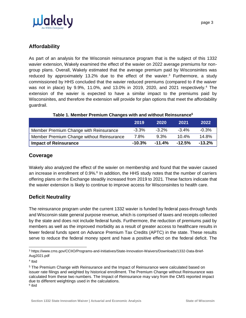

# <span id="page-18-0"></span>**Affordability**

As part of an analysis for the Wisconsin reinsurance program that is the subject of this 1332 wavier extension, Wakely examined the effect of the wavier on 2022 average premiums for nongroup plans. Overall, Wakely estimated that the average premium paid by Wisconsinites was reduced by approximately 13.2% due to the effect of the wavier.<sup>3</sup> Furthermore, a study commissioned by HHS concluded that the wavier reduced premiums (compared to if the waiver was not in place) by 9.9%, 11.0%, and 13.0% in 2019, 2020, and 2021 respectively.<sup>4</sup> The extension of the wavier is expected to have a similar impact to the premiums paid by Wisconsinites, and therefore the extension will provide for plan options that meet the affordability guardrail.

|                                           | 2019      | 2020     | 2021      | 2022      |
|-------------------------------------------|-----------|----------|-----------|-----------|
| Member Premium Change with Reinsurance    | $-3.3\%$  | $-3.2\%$ | $-3.4\%$  | -0.3%     |
| Member Premium Change without Reinsurance | 7.8%      | 9.3%     | $10.4\%$  | 14.8%     |
| <b>Impact of Reinsurance</b>              | $-10.3\%$ | $-11.4%$ | $-12.5\%$ | $-13.2\%$ |

|  | Table 1. Member Premium Changes with and without Reinsurance <sup>5</sup> |
|--|---------------------------------------------------------------------------|
|--|---------------------------------------------------------------------------|

# <span id="page-18-1"></span>**Coverage**

Wakely also analyzed the effect of the wavier on membership and found that the wavier caused an increase in enrollment of 0.9%.<sup>6</sup> In addition, the HHS study notes that the number of carriers offering plans on the Exchange steadily increased from 2019 to 2021. These factors indicate that the wavier extension is likely to continue to improve access for Wisconsinites to health care.

# <span id="page-18-2"></span>**Deficit Neutrality**

The reinsurance program under the current 1332 wavier is funded by federal pass-through funds and Wisconsin state general purpose revenue, which is comprised of taxes and receipts collected by the state and does not include federal funds. Furthermore, the reduction of premiums paid by members as well as the improved morbidity as a result of greater access to healthcare results in fewer federal funds spent on Advance Premium Tax Credits (APTC) in the state. These results serve to reduce the federal money spent and have a positive effect on the federal deficit. The

 <sup>3</sup> https://www.cms.gov/CCIIO/Programs-and-Initiatives/State-Innovation-Waivers/Downloads/1332-Data-Brief-Aug2021.pdf

<sup>4</sup> Ibid

<sup>5</sup> The Premium Change with Reinsurance and the Impact of Reinsurance were calculated based on issuer rate filings and weighted by historical enrollment. The Premium Change without Reinsurance was calculated from these two numbers. The Impact of Reinsurance may vary from the CMS reported impact due to different weightings used in the calculations.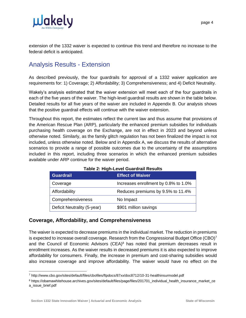

extension of the 1332 waiver is expected to continue this trend and therefore no increase to the federal deficit is anticipated.

# <span id="page-19-0"></span>Analysis Results - Extension

As described previously, the four guardrails for approval of a 1332 waiver application are requirements for: 1) Coverage; 2) Affordability; 3) Comprehensiveness; and 4) Deficit Neutrality.

Wakely's analysis estimated that the waiver extension will meet each of the four guardrails in each of the five years of the waiver. The high-level guardrail results are shown in the table below. Detailed results for all five years of the waiver are included in Appendix B. Our analysis shows that the positive guardrail effects will continue with the waiver extension.

Throughout this report, the estimates reflect the current law and thus assume that provisions of the American Rescue Plan (ARP), particularly the enhanced premium subsidies for individuals purchasing health coverage on the Exchange, are not in effect in 2023 and beyond unless otherwise noted. Similarly, as the family glitch regulation has not been finalized the impact is not included, unless otherwise noted. Below and in Appendix A, we discuss the results of alternative scenarios to provide a range of possible outcomes due to the uncertainty of the assumptions included in this report, including three scenarios in which the enhanced premium subsidies available under ARP continue for the waiver period.

| Table 2. Thuir Level Oual ul all Results |                                      |  |  |  |
|------------------------------------------|--------------------------------------|--|--|--|
| Guardrail                                | <b>Effect of Waiver</b>              |  |  |  |
| Coverage                                 | Increases enrollment by 0.8% to 1.0% |  |  |  |
| Affordability                            | Reduces premiums by 9.5% to 11.4%    |  |  |  |
| Comprehensiveness                        | No Impact                            |  |  |  |
| Deficit Neutrality (5-year)              | \$901 million savings                |  |  |  |

**Table 2: High-Level Guardrail Results**

## <span id="page-19-1"></span>**Coverage, Affordability, and Comprehensiveness**

The waiver is expected to decrease premiums in the individual market. The reduction in premiums is expected to increase overall coverage. Research from the Congressional Budget Office  $(CBO)^7$ and the Council of Economic Advisors  $(CEA)^8$  has noted that premium decreases result in enrollment increases. As the waiver results in decreased premiums it is also expected to improve affordability for consumers. Finally, the increase in premium and cost-sharing subsidies would also increase coverage and improve affordability. The waiver would have no effect on the

<sup>7</sup> <http://www.cbo.gov/sites/default/files/cbofiles/ftpdocs/87xx/doc8712/10-31-healthinsurmodel.pdf>

<sup>8</sup> https://obamawhitehouse.archives.gov/sites/default/files/page/files/201701\_individual\_health\_insurance\_market\_ce a\_issue\_brief.pdf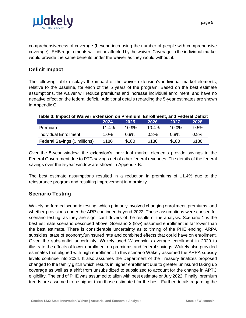

comprehensiveness of coverage (beyond increasing the number of people with comprehensive coverage). EHB requirements will not be affected by the waiver. Coverage in the individual market would provide the same benefits under the waiver as they would without it.

## <span id="page-20-0"></span>**Deficit Impact**

The following table displays the impact of the waiver extension's individual market elements, relative to the baseline, for each of the 5 years of the program. Based on the best estimate assumptions, the waiver will reduce premiums and increase individual enrollment, and have no negative effect on the federal deficit. Additional details regarding the 5-year estimates are shown in Appendix C.

|                               | 2024      | 2025   | 2026      | 2027      | 2028     |
|-------------------------------|-----------|--------|-----------|-----------|----------|
| Premium                       | $-11.4\%$ | -10.9% | $-10.4\%$ | $-10.0\%$ | $-9.5\%$ |
| Individual Enrollment         | $1.0\%$   | 0.9%   | $0.8\%$   | $0.8\%$   | 0.8%     |
| Federal Savings (\$ millions) | \$180     | \$180  | \$180     | \$180     | \$180    |

#### **Table 3: Impact of Waiver Extension on Premium, Enrollment, and Federal Deficit**

Over the 5-year window, the extension's individual market elements provide savings to the Federal Government due to PTC savings net of other federal revenues. The details of the federal savings over the 5-year window are shown in Appendix B.

The best estimate assumptions resulted in a reduction in premiums of 11.4% due to the reinsurance program and resulting improvement in morbidity.

# <span id="page-20-1"></span>**Scenario Testing**

Wakely performed scenario testing, which primarily involved changing enrollment, premiums, and whether provisions under the ARP continued beyond 2022. These assumptions were chosen for scenario testing, as they are significant drivers of the results of the analysis. Scenario 1 is the best estimate scenario described above. Scenario 2 (low) assumed enrollment is far lower than the best estimate. There is considerable uncertainty as to timing of the PHE ending, ARPA subsidies, state of economy/uninsured rate and combined effects that could have on enrollment. Given the substantial uncertainty, Wakely used Wisconsin's average enrollment in 2020 to illustrate the effects of lower enrollment on premiums and federal savings. Wakely also provided estimates that aligned with high enrollment. In this scenario Wakely assumed the ARPA subsidy levels continue into 2024. It also assumes the Department of the Treasury finalizes proposed changed to the family glitch which results in higher enrollment due to greater uninsured taking up coverage as well as a shift from unsubsidized to subsidized to account for the change in APTC eligibility. The end of PHE was assumed to align with best estimate or July 2022. Finally, premium trends are assumed to be higher than those estimated for the best. Further details regarding the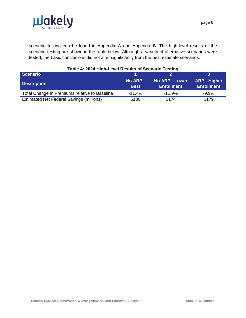

scenario testing can be found in Appendix A and Appendix B. The high-level results of the scenario testing are shown in the table below. Although a variety of alternative scenarios were tested, the basic conclusions did not alter significantly from the best estimate scenarios.

| Table 4: 2024 High-Level Results of Scenario Testing |                         |                                            |                                   |  |  |  |
|------------------------------------------------------|-------------------------|--------------------------------------------|-----------------------------------|--|--|--|
| Scenario                                             |                         |                                            |                                   |  |  |  |
| <b>Description</b>                                   | No ARP -<br><b>Best</b> | <b>No ARP - Lower</b><br><b>Enrollment</b> | ARP - Higher<br><b>Enrollment</b> |  |  |  |
| Total Change in Premiums relative to Baseline        | $-11.4%$                | $-11.9%$                                   | $-9.9%$                           |  |  |  |
| <b>Estimated Net Federal Savings (millions)</b>      | \$180                   | \$174                                      | \$179                             |  |  |  |

#### **Table 4: 2024 High-Level Results of Scenario Testing**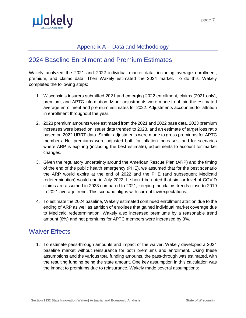

# Appendix A – Data and Methodology

# <span id="page-22-1"></span><span id="page-22-0"></span>2024 Baseline Enrollment and Premium Estimates

Wakely analyzed the 2021 and 2022 individual market data, including average enrollment, premium, and claims data. Then Wakely estimated the 2024 market. To do this, Wakely completed the following steps:

- 1. Wisconsin's insurers submitted 2021 and emerging 2022 enrollment, claims (2021 only), premium, and APTC information. Minor adjustments were made to obtain the estimated average enrollment and premium estimates for 2022. Adjustments accounted for attrition in enrollment throughout the year.
- 2. 2023 premium amounts were estimated from the 2021 and 2022 base data. 2023 premium increases were based on issuer data trended to 2023, and an estimate of target loss ratio based on 2022 URRT data. Similar adjustments were made to gross premiums for APTC members. Net premiums were adjusted both for inflation increases, and for scenarios where ARP is expiring (including the best estimate), adjustments to account for market changes.
- 3. Given the regulatory uncertainty around the American Rescue Plan (ARP) and the timing of the end of the public health emergency (PHE), we assumed that for the best scenario the ARP would expire at the end of 2022 and the PHE (and subsequent Medicaid redetermination) would end in July 2022. It should be noted that similar level of COVID claims are assumed in 2023 compared to 2021, keeping the claims trends close to 2019 to 2021 average trend. This scenario aligns with current law/expectations.
- 4. To estimate the 2024 baseline, Wakely estimated continued enrollment attrition due to the ending of ARP as well as attrition of enrollees that gained individual market coverage due to Medicaid redetermination. Wakely also increased premiums by a reasonable trend amount (6%) and net premiums for APTC members were increased by 3%.

# <span id="page-22-2"></span>Waiver Effects

1. To estimate pass-through amounts and impact of the waiver, Wakely developed a 2024 baseline market without reinsurance for both premiums and enrollment. Using these assumptions and the various total funding amounts, the pass-through was estimated, with the resulting funding being the state amount. One key assumption in this calculation was the impact to premiums due to reinsurance. Wakely made several assumptions: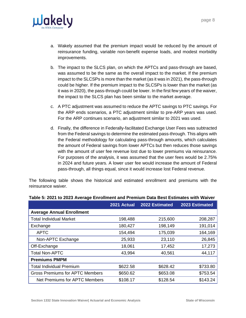

- a. Wakely assumed that the premium impact would be reduced by the amount of reinsurance funding, variable non-benefit expense loads, and modest morbidity improvements.
- b. The impact to the SLCS plan, on which the APTCs and pass-through are based, was assumed to be the same as the overall impact to the market. If the premium impact to the SLCSPs is more than the market (as it was in 2021), the pass-through could be higher. If the premium impact to the SLCSPs is lower than the market (as it was in 2020), the pass-through could be lower. In the first few years of the waiver, the impact to the SLCS plan has been similar to the market average.
- c. A PTC adjustment was assumed to reduce the APTC savings to PTC savings. For the ARP ends scenarios, a PTC adjustment similar to pre-ARP years was used. For the ARP continues scenario, an adjustment similar to 2021 was used.
- d. Finally, the difference in Federally-facilitated Exchange User Fees was subtracted from the Federal savings to determine the estimated pass-through. This aligns with the Federal methodology for calculating pass-through amounts, which calculates the amount of Federal savings from lower APTCs but then reduces those savings with the amount of user fee revenue lost due to lower premiums via reinsurance. For purposes of the analysis, it was assumed that the user fees would be 2.75% in 2024 and future years. A lower user fee would increase the amount of Federal pass-through, all things equal, since it would increase lost Federal revenue.

The following table shows the historical and estimated enrollment and premiums with the reinsurance waiver.

|                                        | 2021 Actual | 2022 Estimated | 2023 Estimated |
|----------------------------------------|-------------|----------------|----------------|
| <b>Average Annual Enrollment</b>       |             |                |                |
| <b>Total Individual Market</b>         | 198,488     | 215,600        | 208,287        |
| Exchange                               | 180,427     | 198,149        | 191,014        |
| <b>APTC</b>                            | 154,494     | 175,039        | 164,169        |
| Non-APTC Exchange                      | 25,933      | 23,110         | 26,845         |
| Off-Exchange                           | 18,061      | 17,452         | 17,273         |
| <b>Total Non-APTC</b>                  | 43,994      | 40,561         | 44,117         |
| <b>Premiums PMPM</b>                   |             |                |                |
| <b>Total Individual Premium</b>        | \$622.58    | \$628.42       | \$733.80       |
| <b>Gross Premiums for APTC Members</b> | \$650.62    | \$653.08       | \$753.54       |
| Net Premiums for APTC Members          | \$108.17    | \$128.54       | \$143.24       |

#### **Table 5: 2021 to 2023 Average Enrollment and Premium Data Best Estimates with Waiver**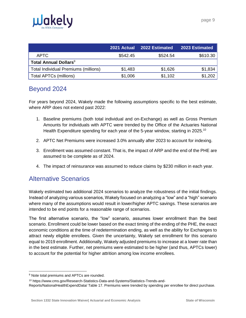

|                                      |          | 2021 Actual 2022 Estimated | 2023 Estimated |
|--------------------------------------|----------|----------------------------|----------------|
| APTC                                 | \$542.45 | \$524.54                   | \$610.30       |
| Total Annual Dollars <sup>9</sup>    |          |                            |                |
| Total Individual Premiums (millions) | \$1,483  | \$1,626                    | \$1,834        |
| Total APTCs (millions)               | \$1,006  | \$1,102                    | \$1,202        |

# <span id="page-24-0"></span>Beyond 2024

For years beyond 2024, Wakely made the following assumptions specific to the best estimate, where ARP does not extend past 2022:

- 1. Baseline premiums (both total individual and on-Exchange) as well as Gross Premium Amounts for individuals with APTC were trended by the Office of the Actuaries National Health Expenditure spending for each year of the 5-year window, starting in 2025.<sup>10</sup>
- 2. APTC Net Premiums were increased 3.0% annually after 2023 to account for indexing.
- 3. Enrollment was assumed constant. That is, the impact of ARP and the end of the PHE are assumed to be complete as of 2024.
- 4. The impact of reinsurance was assumed to reduce claims by \$230 million in each year.

# <span id="page-24-1"></span>Alternative Scenarios

Wakely estimated two additional 2024 scenarios to analyze the robustness of the initial findings. Instead of analyzing various scenarios, Wakely focused on analyzing a "low" and a "high" scenario where many of the assumptions would result in lower/higher APTC savings. These scenarios are intended to be end points for a reasonable range of scenarios.

The first alternative scenario, the "low" scenario, assumes lower enrollment than the best scenario. Enrollment could be lower based on the exact timing of the ending of the PHE, the exact economic conditions at the time of redetermination ending, as well as the ability for Exchanges to attract newly eligible enrollees. Given the uncertainty, Wakely set enrollment for this scenario equal to 2019 enrollment. Additionally, Wakely adjusted premiums to increase at a lower rate than in the best estimate. Further, net premiums were estimated to be higher (and thus, APTCs lower) to account for the potential for higher attrition among low income enrollees.

<sup>&</sup>lt;sup>9</sup> Note total premiums and APTCs are rounded.

<sup>10</sup> [https://www.cms.gov/Research-Statistics-Data-and-Systems/Statistics-Trends-and-](https://www.cms.gov/Research-Statistics-Data-and-Systems/Statistics-Trends-and-Reports/NationalHealthExpendData/)

[Reports/NationalHealthExpendData/](https://www.cms.gov/Research-Statistics-Data-and-Systems/Statistics-Trends-and-Reports/NationalHealthExpendData/) Table 17. Premiums were trended by spending per enrollee for direct purchase.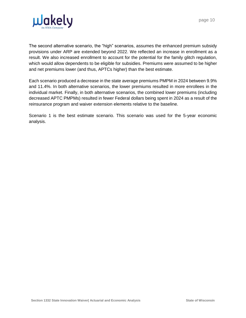



The second alternative scenario, the "high" scenarios, assumes the enhanced premium subsidy provisions under ARP are extended beyond 2022. We reflected an increase in enrollment as a result. We also increased enrollment to account for the potential for the family glitch regulation, which would allow dependents to be eligible for subsidies. Premiums were assumed to be higher and net premiums lower (and thus, APTCs higher) than the best estimate.

Each scenario produced a decrease in the state average premiums PMPM in 2024 between 9.9% and 11.4%. In both alternative scenarios, the lower premiums resulted in more enrollees in the individual market. Finally, in both alternative scenarios, the combined lower premiums (including decreased APTC PMPMs) resulted in fewer Federal dollars being spent in 2024 as a result of the reinsurance program and waiver extension elements relative to the baseline.

Scenario 1 is the best estimate scenario. This scenario was used for the 5-year economic analysis.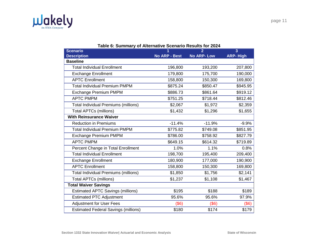

| <b>Scenario</b>                             | 1                    | $\overline{2}$    | $\overline{3}$  |
|---------------------------------------------|----------------------|-------------------|-----------------|
| <b>Description</b>                          | <b>No ARP - Best</b> | <b>No ARP-Low</b> | <b>ARP-High</b> |
| <b>Baseline</b>                             |                      |                   |                 |
| <b>Total Individual Enrollment</b>          | 196,800              | 193,200           | 207,800         |
| <b>Exchange Enrollment</b>                  | 179,800              | 175,700           | 190,000         |
| <b>APTC Enrollment</b>                      | 158,800              | 150,300           | 169,800         |
| <b>Total Individual Premium PMPM</b>        | \$875.24             | \$850.47          | \$945.95        |
| Exchange Premium PMPM                       | \$886.73             | \$861.64          | \$919.12        |
| <b>APTC PMPM</b>                            | \$751.25             | \$718.44          | \$812.46        |
| Total Individual Premiums (millions)        | \$2,067              | \$1,972           | \$2,359         |
| <b>Total APTCs (millions)</b>               | \$1,432              | \$1,296           | \$1,655         |
| <b>With Reinsurance Waiver</b>              |                      |                   |                 |
| <b>Reduction in Premiums</b>                | $-11.4%$             | $-11.9%$          | $-9.9%$         |
| <b>Total Individual Premium PMPM</b>        | \$775.82             | \$749.08          | \$851.95        |
| <b>Exchange Premium PMPM</b>                | \$786.00             | \$758.92          | \$827.79        |
| <b>APTC PMPM</b>                            | \$649.15             | \$614.32          | \$719.89        |
| Percent Change in Total Enrollment          | 1.0%                 | 1.1%              | 0.8%            |
| <b>Total Individual Enrollment</b>          | 198,700              | 195,400           | 209,400         |
| <b>Exchange Enrollment</b>                  | 180,900              | 177,000           | 190,900         |
| <b>APTC Enrollment</b>                      | 158,800              | 150,300           | 169,800         |
| <b>Total Individual Premiums (millions)</b> | \$1,850              | \$1,756           | \$2,141         |
| <b>Total APTCs (millions)</b>               | \$1,237              | \$1,108           | \$1,467         |
| <b>Total Waiver Savings</b>                 |                      |                   |                 |
| <b>Estimated APTC Savings (millions)</b>    | \$195                | \$188             | \$189           |
| <b>Estimated PTC Adjustment</b>             | 95.6%                | 95.6%             | 97.9%           |
| <b>Adjustment for User Fees</b>             | $($ \$6)             | (\$6)             | (\$6)           |
| <b>Estimated Federal Savings (millions)</b> | \$180                | \$174             | \$179           |

#### **Table 6: Summary of Alternative Scenario Results for 2024**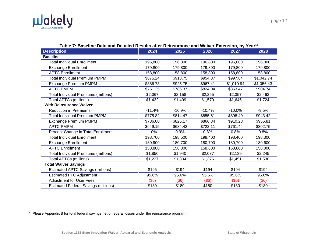

| <b>Description</b>                          | 2024     | 2025     | 2026     | 2027       | 2028       |
|---------------------------------------------|----------|----------|----------|------------|------------|
| <b>Baseline</b>                             |          |          |          |            |            |
| <b>Total Individual Enrollment</b>          | 196,800  | 196,800  | 196,800  | 196,800    | 196,800    |
| <b>Exchange Enrollment</b>                  | 179,800  | 179,800  | 179,800  | 179,800    | 179,800    |
| <b>APTC Enrollment</b>                      | 158,800  | 158,800  | 158,800  | 158,800    | 158,800    |
| <b>Total Individual Premium PMPM</b>        | \$875.24 | \$913.75 | \$954.87 | \$997.84   | \$1,042.74 |
| <b>Exchange Premium PMPM</b>                | \$886.73 | \$925.75 | \$967.41 | \$1,010.94 | \$1,056.43 |
| <b>APTC PMPM</b>                            | \$751.25 | \$786.37 | \$824.04 | \$863.47   | \$904.74   |
| <b>Total Individual Premiums (millions)</b> | \$2,067  | \$2,158  | \$2,255  | \$2,357    | \$2,463    |
| <b>Total APTCs (millions)</b>               | \$1,432  | \$1,499  | \$1,570  | \$1,645    | \$1,724    |
| <b>With Reinsurance Waiver</b>              |          |          |          |            |            |
| <b>Reduction in Premiums</b>                | $-11.4%$ | $-10.9%$ | $-10.4%$ | $-10.0%$   | $-9.5%$    |
| <b>Total Individual Premium PMPM</b>        | \$775.82 | \$814.47 | \$855.61 | \$898.49   | \$943.42   |
| Exchange Premium PMPM                       | \$786.00 | \$825.17 | \$866.84 | \$910.28   | \$955.81   |
| <b>APTC PMPM</b>                            | \$649.15 | \$684.42 | \$722.11 | \$761.44   | \$802.75   |
| Percent Change in Total Enrollment          | 1.0%     | 0.9%     | 0.8%     | 0.8%       | 0.8%       |
| <b>Total Individual Enrollment</b>          | 198,700  | 198,500  | 198,400  | 198,400    | 198,300    |
| <b>Exchange Enrollment</b>                  | 180,900  | 180,700  | 180,700  | 180,700    | 180,600    |
| <b>APTC Enrollment</b>                      | 158,800  | 158,800  | 158,800  | 158,800    | 158,800    |
| Total Individual Premiums (millions)        | \$1,850  | \$1,940  | \$2,037  | \$2,139    | \$2,245    |
| <b>Total APTCs (millions)</b>               | \$1,237  | \$1,304  | \$1,376  | \$1,451    | \$1,530    |
| <b>Total Waiver Savings</b>                 |          |          |          |            |            |
| <b>Estimated APTC Savings (millions)</b>    | \$195    | \$194    | \$194    | \$194      | \$194      |
| <b>Estimated PTC Adjustment</b>             | 95.6%    | 95.6%    | 95.6%    | 95.6%      | 95.6%      |
| <b>Adjustment for User Fees</b>             | (\$6)    | (\$6)    | (\$6)    | (\$6)      | (\$6)      |
| <b>Estimated Federal Savings (millions)</b> | \$180    | \$180    | \$180    | \$180      | \$180      |

**Table 7: Baseline Data and Detailed Results after Reinsurance and Waiver Extension, by Year<sup>11</sup>**

page 12

<sup>&</sup>lt;sup>11</sup> Please Appendix B for total federal savings net of federal losses under the reinsurance program.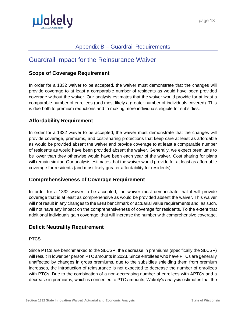

# Appendix B – Guardrail Requirements

# <span id="page-28-1"></span><span id="page-28-0"></span>Guardrail Impact for the Reinsurance Waiver

### <span id="page-28-2"></span>**Scope of Coverage Requirement**

In order for a 1332 waiver to be accepted, the waiver must demonstrate that the changes will provide coverage to at least a comparable number of residents as would have been provided coverage without the waiver. Our analysis estimates that the waiver would provide for at least a comparable number of enrollees (and most likely a greater number of individuals covered). This is due both to premium reductions and to making more individuals eligible for subsidies.

## <span id="page-28-3"></span>**Affordability Requirement**

In order for a 1332 waiver to be accepted, the waiver must demonstrate that the changes will provide coverage, premiums, and cost-sharing protections that keep care at least as affordable as would be provided absent the waiver and provide coverage to at least a comparable number of residents as would have been provided absent the waiver. Generally, we expect premiums to be lower than they otherwise would have been each year of the waiver. Cost sharing for plans will remain similar. Our analysis estimates that the waiver would provide for at least as affordable coverage for residents (and most likely greater affordability for residents).

### <span id="page-28-4"></span>**Comprehensiveness of Coverage Requirement**

In order for a 1332 waiver to be accepted, the waiver must demonstrate that it will provide coverage that is at least as comprehensive as would be provided absent the waiver. This waiver will not result in any changes to the EHB benchmark or actuarial value requirements and, as such, will not have any impact on the comprehensiveness of coverage for residents. To the extent that additional individuals gain coverage, that will increase the number with comprehensive coverage.

## <span id="page-28-5"></span>**Deficit Neutrality Requirement**

#### **PTCS**

Since PTCs are benchmarked to the SLCSP, the decrease in premiums (specifically the SLCSP) will result in lower per person PTC amounts in 2023. Since enrollees who have PTCs are generally unaffected by changes in gross premiums, due to the subsidies shielding them from premium increases, the introduction of reinsurance is not expected to decrease the number of enrollees with PTCs. Due to the combination of a non-decreasing number of enrollees with APTCs and a decrease in premiums, which is connected to PTC amounts, Wakely's analysis estimates that the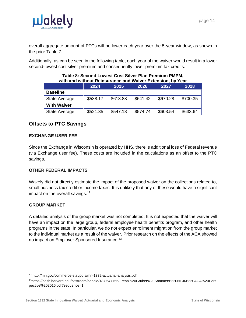

overall aggregate amount of PTCs will be lower each year over the 5-year window, as shown in the prior Table 7.

Additionally, as can be seen in the following table, each year of the waiver would result in a lower second-lowest cost silver premium and consequently lower premium tax credits.

| with and without Reinsurance and Waiver Extension, by Year |                                      |          |          |          |          |  |
|------------------------------------------------------------|--------------------------------------|----------|----------|----------|----------|--|
|                                                            | 2026<br>2027<br>2028<br>2024<br>2025 |          |          |          |          |  |
| <b>Baseline</b>                                            |                                      |          |          |          |          |  |
| <b>State Average</b>                                       | \$588.17                             | \$613.88 | \$641.42 | \$670.28 | \$700.35 |  |
| <b>With Waiver</b>                                         |                                      |          |          |          |          |  |
| <b>State Average</b>                                       | \$521.35                             | \$547.18 | \$574.74 | \$603.54 | \$633.64 |  |

# **Table 8: Second Lowest Cost Silver Plan Premium PMPM,**

## <span id="page-29-0"></span>**Offsets to PTC Savings**

#### **EXCHANGE USER FEE**

Since the Exchange in Wisconsin is operated by HHS, there is additional loss of Federal revenue (via Exchange user fee). These costs are included in the calculations as an offset to the PTC savings.

#### **OTHER FEDERAL IMPACTS**

Wakely did not directly estimate the impact of the proposed waiver on the collections related to, small business tax credit or income taxes. It is unlikely that any of these would have a significant impact on the overall savings. $12$ 

#### **GROUP MARKET**

A detailed analysis of the group market was not completed. It is not expected that the waiver will have an impact on the large group, federal employee health benefits program, and other health programs in the state. In particular, we do not expect enrollment migration from the group market to the individual market as a result of the waiver. Prior research on the effects of the ACA showed no impact on Employer Sponsored Insurance.<sup>13</sup>

<sup>12</sup> http://mn.gov/commerce-stat/pdfs/mn-1332-actuarial-analysis.pdf

<sup>13</sup>https://dash.harvard.edu/bitstream/handle/1/28547756/Frean%20Gruber%20Sommers%20NEJM%20ACA%20Pers pective%202016.pdf?sequence=1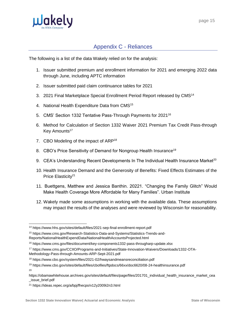

# Appendix C - Reliances

<span id="page-30-0"></span>The following is a list of the data Wakely relied on for the analysis:

- 1. Issuer submitted premium and enrollment information for 2021 and emerging 2022 data through June, including APTC information
- 2. Issuer submitted paid claim continuance tables for 2021
- 3. 2021 Final Marketplace Special Enrollment Period Report released by CMS<sup>14</sup>
- 4. National Health Expenditure Data from CMS<sup>15</sup>
- 5. CMS' Section 1332 Tentative Pass-Through Payments for 2021<sup>16</sup>
- 6. Method for Calculation of Section 1332 Waiver 2021 Premium Tax Credit Pass-through Key Amounts<sup>17</sup>
- 7. CBO Modeling of the impact of ARP<sup>18</sup>
- 8. CBO's Price Sensitivity of Demand for Nongroup Health Insurance<sup>19</sup>
- 9. CEA's Understanding Recent Developments In The Individual Health Insurance Market $^{20}$
- 10. Health Insurance Demand and the Generosity of Benefits: Fixed Effects Estimates of the Price Elasticity<sup>21</sup>
- 11. Buettgens, Matthew and Jessica Banthin. 20221. "Changing the Family Glitch" Would Make Health Coverage More Affordable for Many Families". Urban Institute
- 12. Wakely made some assumptions in working with the available data. These assumptions may impact the results of the analyses and were reviewed by Wisconsin for reasonability.

<sup>14</sup> https://www.hhs.gov/sites/default/files/2021-sep-final-enrollment-report.pdf

<sup>15</sup> https://www.cms.gov/Research-Statistics-Data-and-Systems/Statistics-Trends-and-

Reports/NationalHealthExpendData/NationalHealthAccountsProjected.html

<sup>16</sup> https://www.cms.gov/files/document/key-components1332-pass-througharp-update.xlsx

<sup>17</sup> https://www.cms.gov/CCIIO/Programs-and-Initiatives/State-Innovation-Waivers/Downloads/1332-OTA-Methodology-Pass-through-Amounts-ARP-Sept-2021.pdf

<sup>18</sup> https://www.cbo.gov/system/files/2021-02/hwaysandmeansreconciliation.pdf

<sup>19</sup> https://www.cbo.gov/sites/default/files/cbofiles/ftpdocs/66xx/doc6620/08-24-healthinsurance.pdf 20

https://obamawhitehouse.archives.gov/sites/default/files/page/files/201701\_individual\_health\_insurance\_market\_cea \_issue\_brief.pdf

<sup>21</sup> https://ideas.repec.org/a/bpj/fhecpo/v12y2009i2n3.html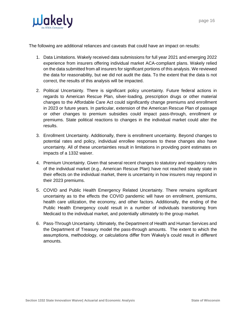

The following are additional reliances and caveats that could have an impact on results:

- 1. Data Limitations. Wakely received data submissions for full year 2021 and emerging 2022 experience from insurers offering individual market ACA-compliant plans. Wakely relied on the data submitted from all insurers for significant portions of this analysis. We reviewed the data for reasonability, but we did not audit the data. To the extent that the data is not correct, the results of this analysis will be impacted.
- 2. Political Uncertainty. There is significant policy uncertainty. Future federal actions in regards to American Rescue Plan, silver-loading, prescription drugs or other material changes to the Affordable Care Act could significantly change premiums and enrollment in 2023 or future years. In particular, extension of the American Rescue Plan of passage or other changes to premium subsidies could impact pass-through, enrollment or premiums. State political reactions to changes in the individual market could alter the results.
- 3. Enrollment Uncertainty. Additionally, there is enrollment uncertainty. Beyond changes to potential rates and policy, individual enrollee responses to these changes also have uncertainty. All of these uncertainties result in limitations in providing point estimates on impacts of a 1332 waiver.
- 4. Premium Uncertainty. Given that several recent changes to statutory and regulatory rules of the individual market (e.g., American Rescue Plan) have not reached steady state in their effects on the individual market, there is uncertainty in how insurers may respond in their 2023 premiums.
- 5. COVID and Public Health Emergency Related Uncertainty. There remains significant uncertainty as to the effects the COVID pandemic will have on enrollment, premiums, health care utilization, the economy, and other factors. Additionally, the ending of the Public Health Emergency could result in a number of individuals transitioning from Medicaid to the individual market, and potentially ultimately to the group market.
- 6. Pass-Through Uncertainty. Ultimately, the Department of Health and Human Services and the Department of Treasury model the pass-through amounts. The extent to which the assumptions, methodology, or calculations differ from Wakely's could result in different amounts.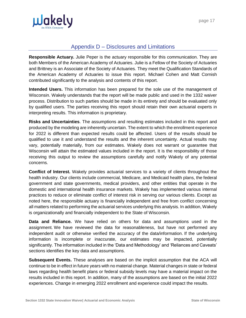

# Appendix D – Disclosures and Limitations

<span id="page-32-0"></span>**Responsible Actuary.** Julie Peper is the actuary responsible for this communication. They are both Members of the American Academy of Actuaries. Julie is a Fellow of the Society of Actuaries and Brittney is an Associate of the Society of Actuaries. They meet the Qualification Standards of the American Academy of Actuaries to issue this report. Michael Cohen and Matt Cornish contributed significantly to the analysis and contents of this report.

**Intended Users.** This information has been prepared for the sole use of the management of Wisconsin. Wakely understands that the report will be made public and used in the 1332 waiver process. Distribution to such parties should be made in its entirety and should be evaluated only by qualified users. The parties receiving this report should retain their own actuarial experts in interpreting results. This information is proprietary.

**Risks and Uncertainties**. The assumptions and resulting estimates included in this report and produced by the modeling are inherently uncertain. The extent to which the enrollment experience for 2022 is different than expected results could be affected. Users of the results should be qualified to use it and understand the results and the inherent uncertainty. Actual results may vary, potentially materially, from our estimates. Wakely does not warrant or guarantee that Wisconsin will attain the estimated values included in the report. It is the responsibility of those receiving this output to review the assumptions carefully and notify Wakely of any potential concerns.

**Conflict of Interest.** Wakely provides actuarial services to a variety of clients throughout the health industry. Our clients include commercial, Medicare, and Medicaid health plans, the federal government and state governments, medical providers, and other entities that operate in the domestic and international health insurance markets. Wakely has implemented various internal practices to reduce or eliminate conflict of interest risk in serving our various clients. Except as noted here, the responsible actuary is financially independent and free from conflict concerning all matters related to performing the actuarial services underlying this analysis. In addition, Wakely is organizationally and financially independent to the State of Wisconsin.

**Data and Reliance.** We have relied on others for data and assumptions used in the assignment. We have reviewed the data for reasonableness, but have not performed any independent audit or otherwise verified the accuracy of the data/information. If the underlying information is incomplete or inaccurate, our estimates may be impacted, potentially significantly. The information included in the 'Data and Methodology' and 'Reliances and Caveats' sections identifies the key data and assumptions.

**Subsequent Events.** These analyses are based on the implicit assumption that the ACA will continue to be in effect in future years with no material change. Material changes in state or federal laws regarding health benefit plans or federal subsidy levels may have a material impact on the results included in this report. In addition, many of the assumptions are based on the initial 2022 experiences. Change in emerging 2022 enrollment and experience could impact the results.